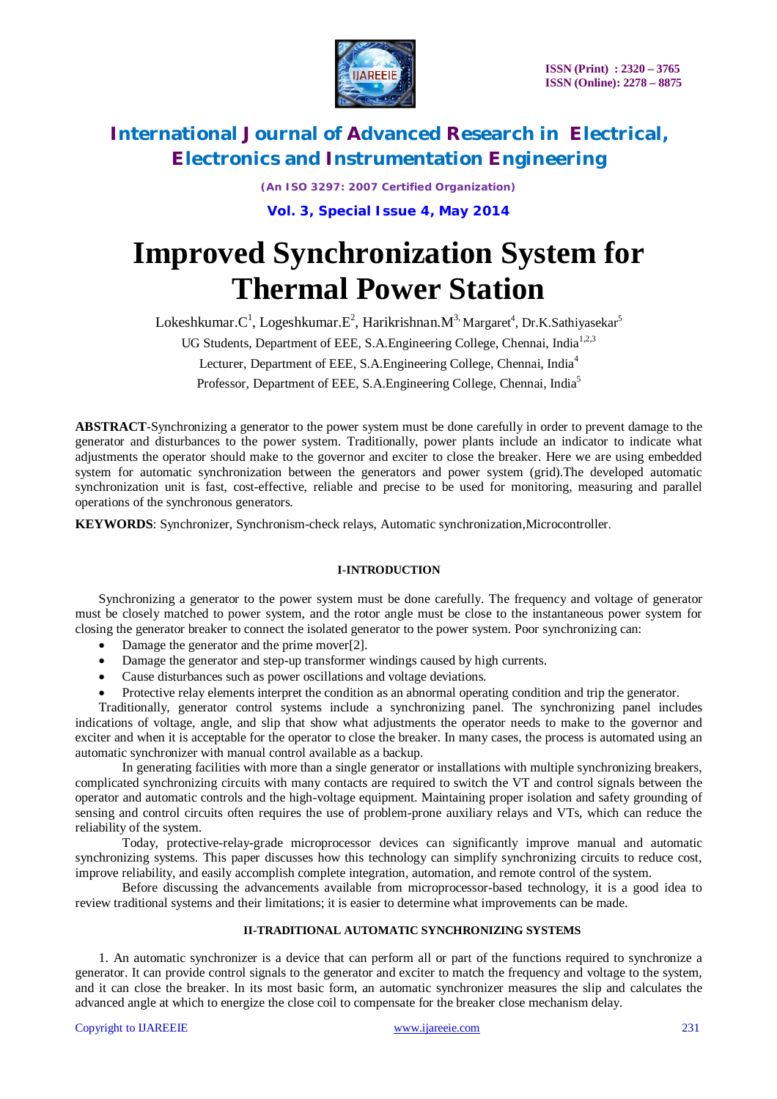

*(An ISO 3297: 2007 Certified Organization)*

**Vol. 3, Special Issue 4, May 2014**

# **Improved Synchronization System for Thermal Power Station**

 ${\rm Lokes}$ hkumar. ${\rm C}^1$ ,  ${\rm Log}$ eshkumar. ${\rm E}^2$ ,  ${\rm Harikrishnan.M}^3$ Margaret $^4$ , Dr.K.Sathiyasekar $^5$ 

UG Students, Department of EEE, S.A.Engineering College, Chennai, India<sup>1,2,3</sup>

Lecturer, Department of EEE, S.A.Engineering College, Chennai, India<sup>4</sup>

Professor, Department of EEE, S.A.Engineering College, Chennai, India<sup>5</sup>

**ABSTRACT**-Synchronizing a generator to the power system must be done carefully in order to prevent damage to the generator and disturbances to the power system. Traditionally, power plants include an indicator to indicate what adjustments the operator should make to the governor and exciter to close the breaker. Here we are using embedded system for automatic synchronization between the generators and power system (grid).The developed automatic synchronization unit is fast, cost-effective, reliable and precise to be used for monitoring, measuring and parallel operations of the synchronous generators.

**KEYWORDS**: Synchronizer, Synchronism-check relays, Automatic synchronization,Microcontroller.

### **I-INTRODUCTION**

Synchronizing a generator to the power system must be done carefully. The frequency and voltage of generator must be closely matched to power system, and the rotor angle must be close to the instantaneous power system for closing the generator breaker to connect the isolated generator to the power system. Poor synchronizing can:

- Damage the generator and the prime mover[2].
- Damage the generator and step-up transformer windings caused by high currents.
- Cause disturbances such as power oscillations and voltage deviations.
- Protective relay elements interpret the condition as an abnormal operating condition and trip the generator.

Traditionally, generator control systems include a synchronizing panel. The synchronizing panel includes indications of voltage, angle, and slip that show what adjustments the operator needs to make to the governor and exciter and when it is acceptable for the operator to close the breaker. In many cases, the process is automated using an automatic synchronizer with manual control available as a backup.

In generating facilities with more than a single generator or installations with multiple synchronizing breakers, complicated synchronizing circuits with many contacts are required to switch the VT and control signals between the operator and automatic controls and the high-voltage equipment. Maintaining proper isolation and safety grounding of sensing and control circuits often requires the use of problem-prone auxiliary relays and VTs, which can reduce the reliability of the system.

Today, protective-relay-grade microprocessor devices can significantly improve manual and automatic synchronizing systems. This paper discusses how this technology can simplify synchronizing circuits to reduce cost, improve reliability, and easily accomplish complete integration, automation, and remote control of the system.

Before discussing the advancements available from microprocessor-based technology, it is a good idea to review traditional systems and their limitations; it is easier to determine what improvements can be made.

#### **II-TRADITIONAL AUTOMATIC SYNCHRONIZING SYSTEMS**

1. An automatic synchronizer is a device that can perform all or part of the functions required to synchronize a generator. It can provide control signals to the generator and exciter to match the frequency and voltage to the system, and it can close the breaker. In its most basic form, an automatic synchronizer measures the slip and calculates the advanced angle at which to energize the close coil to compensate for the breaker close mechanism delay.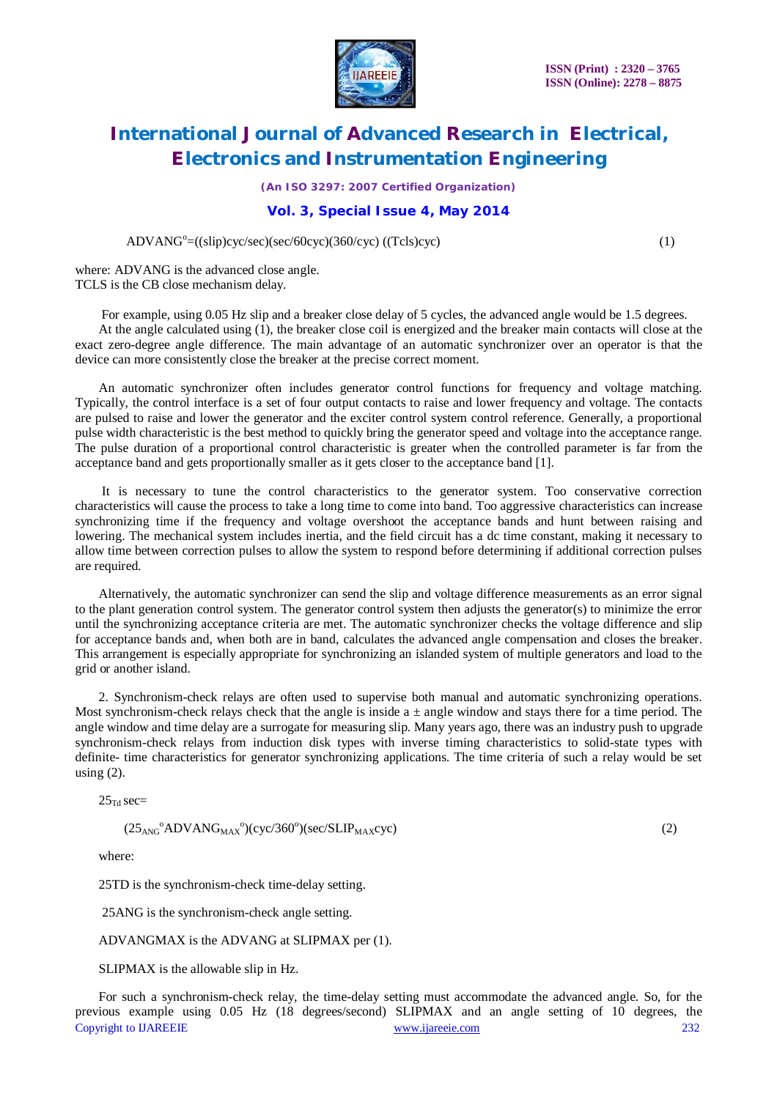

*(An ISO 3297: 2007 Certified Organization)*

#### **Vol. 3, Special Issue 4, May 2014**

ADVANG<sup>o</sup>=((slip)cyc/sec)(sec/60cyc)(360/cyc) ((Tcls)cyc) (1)

where: ADVANG is the advanced close angle. TCLS is the CB close mechanism delay.

For example, using 0.05 Hz slip and a breaker close delay of 5 cycles, the advanced angle would be 1.5 degrees. At the angle calculated using (1), the breaker close coil is energized and the breaker main contacts will close at the exact zero-degree angle difference. The main advantage of an automatic synchronizer over an operator is that the device can more consistently close the breaker at the precise correct moment.

An automatic synchronizer often includes generator control functions for frequency and voltage matching. Typically, the control interface is a set of four output contacts to raise and lower frequency and voltage. The contacts are pulsed to raise and lower the generator and the exciter control system control reference. Generally, a proportional pulse width characteristic is the best method to quickly bring the generator speed and voltage into the acceptance range. The pulse duration of a proportional control characteristic is greater when the controlled parameter is far from the acceptance band and gets proportionally smaller as it gets closer to the acceptance band [1].

It is necessary to tune the control characteristics to the generator system. Too conservative correction characteristics will cause the process to take a long time to come into band. Too aggressive characteristics can increase synchronizing time if the frequency and voltage overshoot the acceptance bands and hunt between raising and lowering. The mechanical system includes inertia, and the field circuit has a dc time constant, making it necessary to allow time between correction pulses to allow the system to respond before determining if additional correction pulses are required.

Alternatively, the automatic synchronizer can send the slip and voltage difference measurements as an error signal to the plant generation control system. The generator control system then adjusts the generator(s) to minimize the error until the synchronizing acceptance criteria are met. The automatic synchronizer checks the voltage difference and slip for acceptance bands and, when both are in band, calculates the advanced angle compensation and closes the breaker. This arrangement is especially appropriate for synchronizing an islanded system of multiple generators and load to the grid or another island.

2. Synchronism-check relays are often used to supervise both manual and automatic synchronizing operations. Most synchronism-check relays check that the angle is inside  $a \pm$  angle window and stays there for a time period. The angle window and time delay are a surrogate for measuring slip. Many years ago, there was an industry push to upgrade synchronism-check relays from induction disk types with inverse timing characteristics to solid-state types with definite- time characteristics for generator synchronizing applications. The time criteria of such a relay would be set using  $(2)$ .

 $25$ <sub>Td</sub> sec=

 $(25<sub>ANG</sub>°ADVANG<sub>MAX</sub>°)(cyc/360°)(sec/SLIP<sub>MAX</sub>cyc)$  (2)

where:

25TD is the synchronism-check time-delay setting.

25ANG is the synchronism-check angle setting.

ADVANGMAX is the ADVANG at SLIPMAX per (1).

SLIPMAX is the allowable slip in Hz.

Copyright to IJAREEIE www.ijareeie.com 232 For such a synchronism-check relay, the time-delay setting must accommodate the advanced angle. So, for the previous example using 0.05 Hz (18 degrees/second) SLIPMAX and an angle setting of 10 degrees, the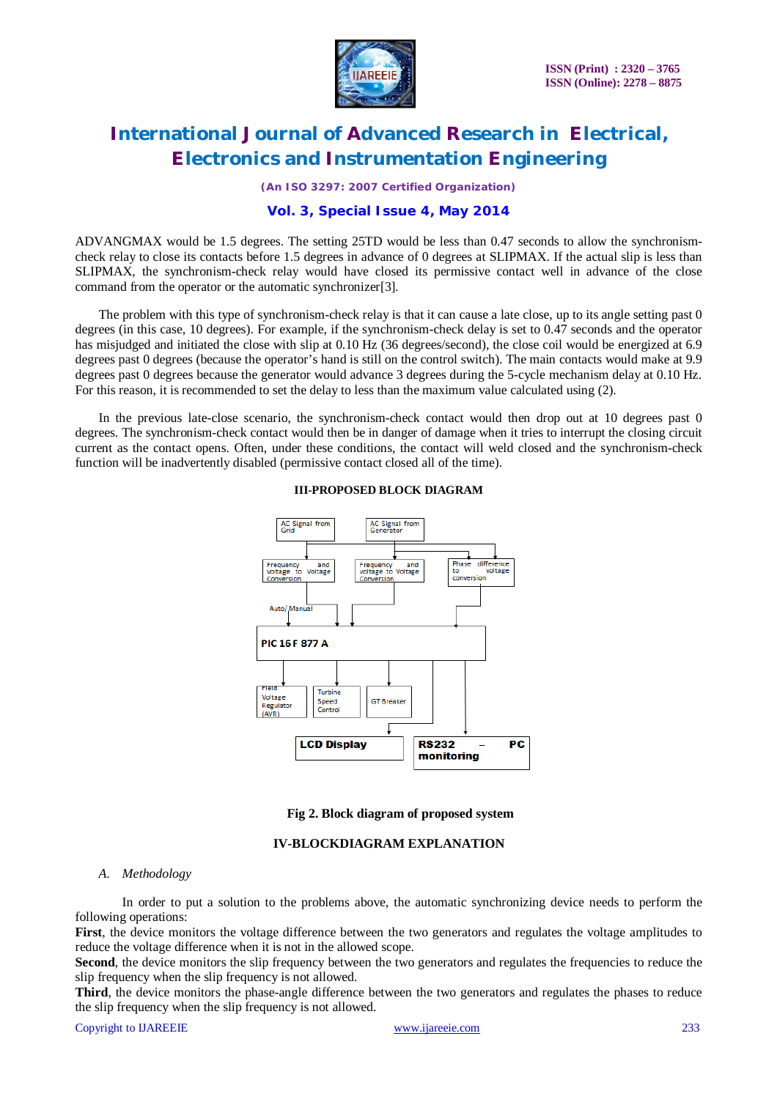

*(An ISO 3297: 2007 Certified Organization)*

### **Vol. 3, Special Issue 4, May 2014**

ADVANGMAX would be 1.5 degrees. The setting 25TD would be less than 0.47 seconds to allow the synchronismcheck relay to close its contacts before 1.5 degrees in advance of 0 degrees at SLIPMAX. If the actual slip is less than SLIPMAX, the synchronism-check relay would have closed its permissive contact well in advance of the close command from the operator or the automatic synchronizer[3].

The problem with this type of synchronism-check relay is that it can cause a late close, up to its angle setting past 0 degrees (in this case, 10 degrees). For example, if the synchronism-check delay is set to 0.47 seconds and the operator has misjudged and initiated the close with slip at 0.10 Hz (36 degrees/second), the close coil would be energized at 6.9 degrees past 0 degrees (because the operator's hand is still on the control switch). The main contacts would make at 9.9 degrees past 0 degrees because the generator would advance 3 degrees during the 5-cycle mechanism delay at 0.10 Hz. For this reason, it is recommended to set the delay to less than the maximum value calculated using (2).

In the previous late-close scenario, the synchronism-check contact would then drop out at 10 degrees past 0 degrees. The synchronism-check contact would then be in danger of damage when it tries to interrupt the closing circuit current as the contact opens. Often, under these conditions, the contact will weld closed and the synchronism-check function will be inadvertently disabled (permissive contact closed all of the time).



#### **III-PROPOSED BLOCK DIAGRAM**

#### **Fig 2. Block diagram of proposed system**

#### **IV-BLOCKDIAGRAM EXPLANATION**

#### *A. Methodology*

In order to put a solution to the problems above, the automatic synchronizing device needs to perform the following operations:

**First**, the device monitors the voltage difference between the two generators and regulates the voltage amplitudes to reduce the voltage difference when it is not in the allowed scope.

**Second**, the device monitors the slip frequency between the two generators and regulates the frequencies to reduce the slip frequency when the slip frequency is not allowed.

**Third**, the device monitors the phase-angle difference between the two generators and regulates the phases to reduce the slip frequency when the slip frequency is not allowed.

Copyright to IJAREEIE www.ijareeie.com 233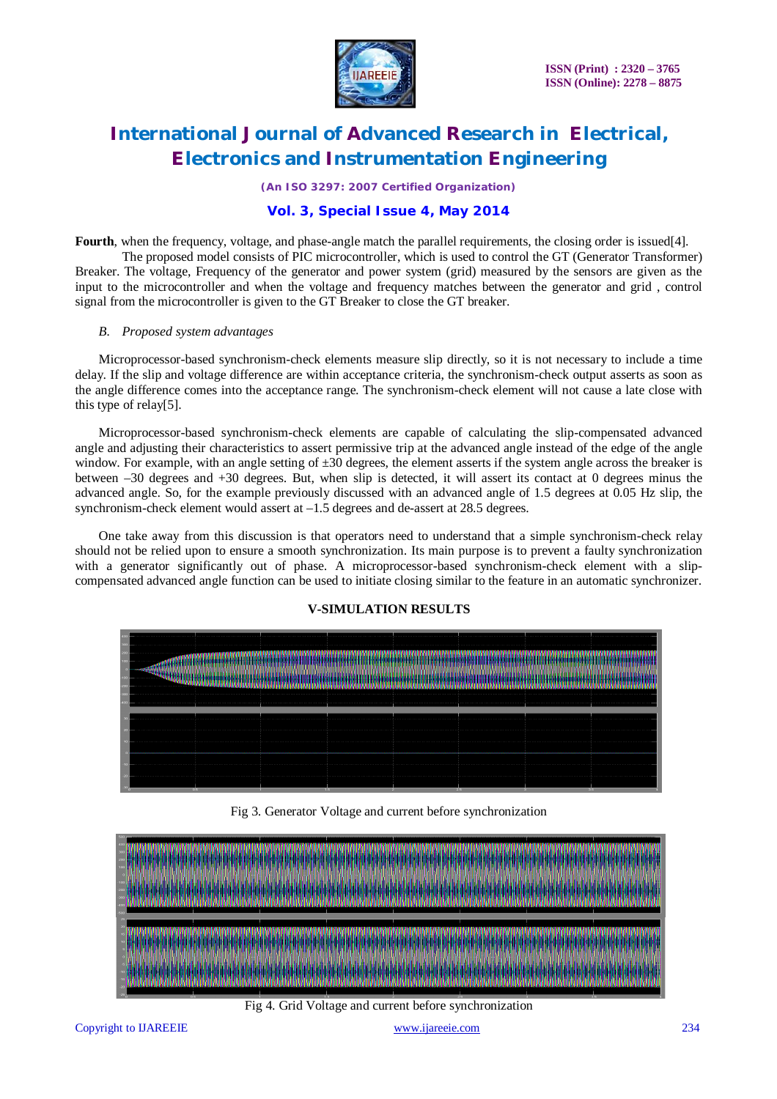

*(An ISO 3297: 2007 Certified Organization)*

### **Vol. 3, Special Issue 4, May 2014**

**Fourth**, when the frequency, voltage, and phase-angle match the parallel requirements, the closing order is issued[4].

The proposed model consists of PIC microcontroller, which is used to control the GT (Generator Transformer) Breaker. The voltage, Frequency of the generator and power system (grid) measured by the sensors are given as the input to the microcontroller and when the voltage and frequency matches between the generator and grid , control signal from the microcontroller is given to the GT Breaker to close the GT breaker.

#### *B. Proposed system advantages*

Microprocessor-based synchronism-check elements measure slip directly, so it is not necessary to include a time delay. If the slip and voltage difference are within acceptance criteria, the synchronism-check output asserts as soon as the angle difference comes into the acceptance range. The synchronism-check element will not cause a late close with this type of relay[5].

Microprocessor-based synchronism-check elements are capable of calculating the slip-compensated advanced angle and adjusting their characteristics to assert permissive trip at the advanced angle instead of the edge of the angle window. For example, with an angle setting of  $\pm 30$  degrees, the element asserts if the system angle across the breaker is between –30 degrees and +30 degrees. But, when slip is detected, it will assert its contact at 0 degrees minus the advanced angle. So, for the example previously discussed with an advanced angle of 1.5 degrees at 0.05 Hz slip, the synchronism-check element would assert at  $-1.5$  degrees and de-assert at 28.5 degrees.

One take away from this discussion is that operators need to understand that a simple synchronism-check relay should not be relied upon to ensure a smooth synchronization. Its main purpose is to prevent a faulty synchronization with a generator significantly out of phase. A microprocessor-based synchronism-check element with a slipcompensated advanced angle function can be used to initiate closing similar to the feature in an automatic synchronizer.

### **V-SIMULATION RESULTS**

| 0.55<br><b>THE 25 YEAR OLD</b><br><b>DE</b><br><b>DOM: N</b> |
|--------------------------------------------------------------|

Fig 3. Generator Voltage and current before synchronization



Fig 4. Grid Voltage and current before synchronization